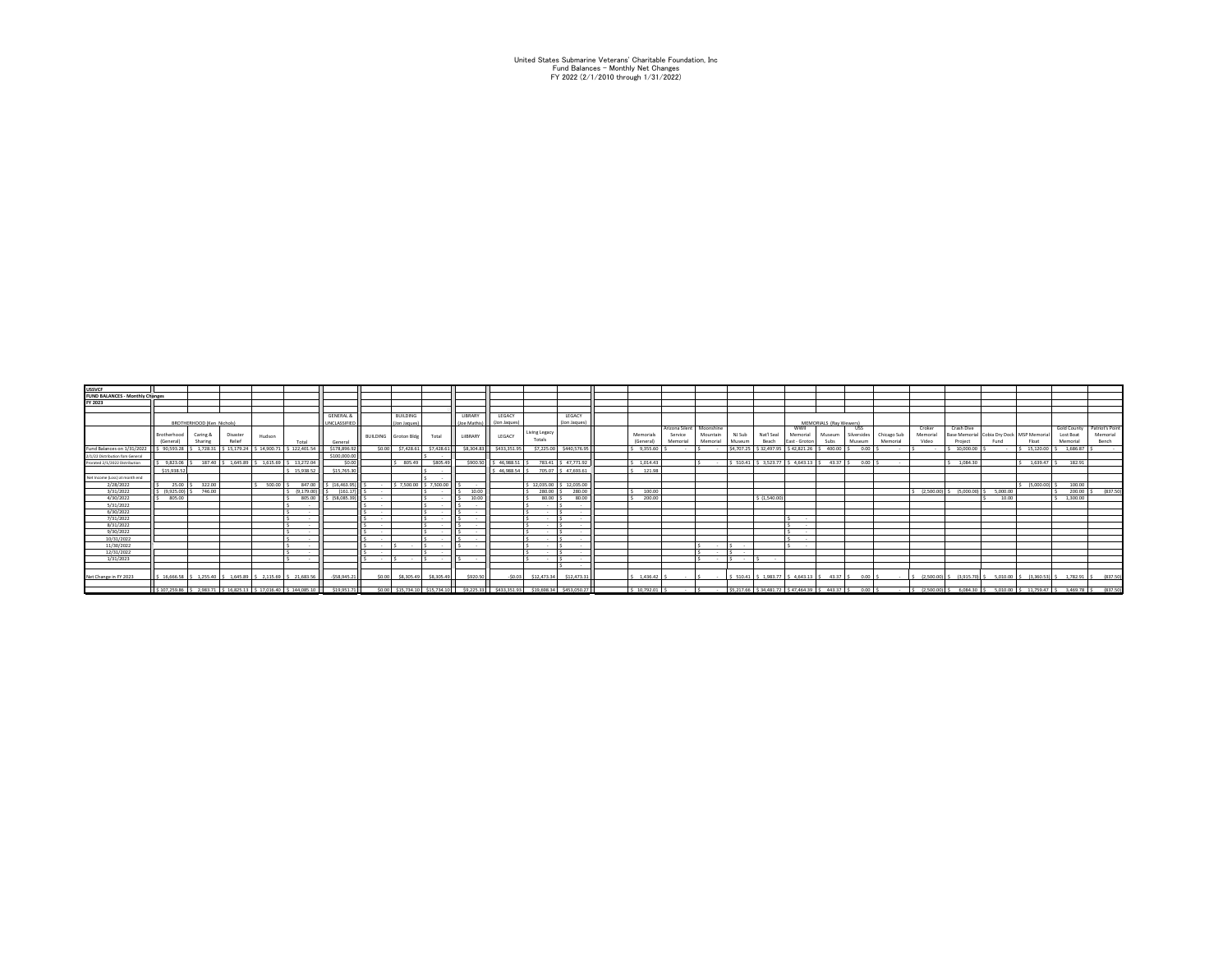United States Submarine Veterans' Charitable Foundation, Inc Fund Balances - Monthly Net Changes FY 2022 (2/1/2010 through 1/31/2022)

| <b>USSVCF</b>                                           |                           |                                         |                 |                                                                          |                 |                               |                        |              |                |                         |              |                |                          |          |                      |                                                        |               |                        |             |             |                |                                         |          |                |            |                                                                               |
|---------------------------------------------------------|---------------------------|-----------------------------------------|-----------------|--------------------------------------------------------------------------|-----------------|-------------------------------|------------------------|--------------|----------------|-------------------------|--------------|----------------|--------------------------|----------|----------------------|--------------------------------------------------------|---------------|------------------------|-------------|-------------|----------------|-----------------------------------------|----------|----------------|------------|-------------------------------------------------------------------------------|
| <b>FUND BALANCES - Monthly Changes</b>                  |                           |                                         |                 |                                                                          |                 |                               |                        |              |                |                         |              |                |                          |          |                      |                                                        |               |                        |             |             |                |                                         |          |                |            |                                                                               |
| FY 2023                                                 |                           |                                         |                 |                                                                          |                 |                               |                        |              |                |                         |              |                |                          |          |                      |                                                        |               |                        |             |             |                |                                         |          |                |            |                                                                               |
|                                                         |                           |                                         |                 |                                                                          |                 |                               |                        |              |                |                         |              |                |                          |          |                      |                                                        |               |                        |             |             |                |                                         |          |                |            |                                                                               |
|                                                         |                           |                                         |                 | <b>GENERAL 8</b>                                                         | <b>BUILDING</b> |                               | LIBRARY                | LEGACY       |                | LEGACY                  |              |                |                          |          |                      |                                                        |               |                        |             |             |                |                                         |          |                |            |                                                                               |
|                                                         | BROTHERHOOD (Ken Nichols) |                                         |                 |                                                                          | UNCLASSIFIED    | (Jon Jaques                   |                        | (Joe Mathis) | (Jon Jaques)   |                         | (Jon Jaques) |                |                          |          |                      |                                                        |               | MEMORIALS (Ray Wewers) |             |             |                |                                         |          |                |            |                                                                               |
|                                                         |                           |                                         |                 |                                                                          |                 |                               |                        |              |                |                         |              |                | Arizona Silent Moonshine |          |                      |                                                        | wwii          |                        | 1155.       |             | Croker         | Crash Dive                              |          |                |            | Gold County Patriot's Point                                                   |
|                                                         | Brotherhood               | Caring &                                | Disaster        | Hudson                                                                   |                 | BUILDING Groton Bldg          | Total                  | LilBRARY     | LEGACY         | Living Legacy           |              | Memorials      | Service                  | Mountain | NJ Sub               | Nat'l Seal                                             | Memorial      | Museum                 | Silversides | Chicago Sub | Memorial       | Base Memorial Cobia Dry Dock MSP Memori |          |                | Lost Boat  | Memorial                                                                      |
|                                                         | (General)                 | Sharing                                 | Relief          | Total                                                                    | General         |                               |                        |              |                | Totals                  |              | (General       | Memorial                 | Memorial | Museum               | Beach                                                  | East - Groton | Subs                   | Museum      | Memorial    | Video          | Project                                 | Fund     | Float          | Memorial   | Bench                                                                         |
| Fund Balances on 1/31/2022   \$ 90,593.28   \$ 1,728.31 |                           |                                         | $S$ 15.179.24 5 | S 122,401.5<br>14 900 71                                                 | \$178,896.9     | \$0.00<br>\$7,428.63          | \$7,428.61             | S8.304.8     | \$433,351.95   | \$7,225.00              | \$440,576.95 | 9.355.60       |                          | $\sim$   | S4.707.25            | \$32,497.95                                            | S 42.821.26   | 400.00                 | 0.00        |             |                | 10,000.00                               |          | 15,120.00      | 1.686.87   |                                                                               |
| 2/1/22 Distribution form General                        |                           |                                         |                 |                                                                          | \$100,000.00    |                               |                        |              |                |                         |              |                |                          |          |                      |                                                        |               |                        |             |             |                |                                         |          |                |            |                                                                               |
| Prorated 2/1/2022 Distribution                          |                           | 9.823.06 S 187.40 S 1.645.89 S 1.615.69 |                 | 13,272.04                                                                | so or           | 805.49                        | \$805.49               | sann s       | 46.988.51      | 783.41 S 47.771.92      |              | $5 - 1.014.43$ |                          | $\sim$   |                      | \$ 510.41 S 3.523.77 S 4.643.13 S 43.37 S 0.00 S       |               |                        |             |             |                | 1.084.30                                |          | $1.639.47$ S   | 182.91     |                                                                               |
|                                                         | \$15,938.5                |                                         |                 | 15.938.52                                                                | \$15,765.30     |                               |                        |              | \$46,988,54 \$ | 705.07 \$ 47.693.61     |              | $5 - 121.98$   |                          |          |                      |                                                        |               |                        |             |             |                |                                         |          |                |            |                                                                               |
| Net Income (Loss) at month end                          |                           |                                         |                 |                                                                          |                 |                               |                        |              |                |                         |              |                |                          |          |                      |                                                        |               |                        |             |             |                |                                         |          |                |            |                                                                               |
| 2/28/2022                                               |                           | 25.00 S 322.00                          |                 | 500.00<br>847.00                                                         | S (16.463.95)   |                               | S 7,500.00 \$ 7,500.00 |              |                | \$12,035.00 \$12,035.00 |              |                |                          |          |                      |                                                        |               |                        |             |             |                |                                         |          | $(5.000.00)$ S | 100.00     |                                                                               |
| 3/31/2022                                               | (9.925.00)                | 746.00                                  |                 | (9.179.00)                                                               | (161.17)        |                               |                        | 10.00        |                | 280.00                  | 280.00       | 100.00         |                          |          |                      |                                                        |               |                        |             |             | $(2.500.00)$ : | (5.000.00)                              | 5.000.00 |                | $200.00$ S | (837.50)                                                                      |
| 4/30/2022                                               | 805.00                    |                                         |                 | 805.00                                                                   | \$ (58,085.39)  |                               |                        | 10.00        |                | 80.00                   | 80.0         | 200.00         |                          |          |                      | \$(1,540.00)                                           |               |                        |             |             |                |                                         | 10.00    |                | 1,300.00   |                                                                               |
| 5/31/2022                                               |                           |                                         |                 |                                                                          |                 |                               |                        |              |                | $\sim$                  |              |                |                          |          |                      |                                                        |               |                        |             |             |                |                                         |          |                |            |                                                                               |
| 6/30/2022                                               |                           |                                         |                 |                                                                          |                 |                               |                        |              |                |                         |              |                |                          |          |                      |                                                        |               |                        |             |             |                |                                         |          |                |            |                                                                               |
| 7/31/2022                                               |                           |                                         |                 |                                                                          |                 | $\sim$                        |                        |              |                |                         |              |                |                          |          |                      |                                                        |               |                        |             |             |                |                                         |          |                |            |                                                                               |
|                                                         |                           |                                         |                 |                                                                          |                 |                               |                        |              |                |                         |              |                |                          |          |                      |                                                        |               |                        |             |             |                |                                         |          |                |            |                                                                               |
| 8/31/2022<br>9/30/2022                                  |                           |                                         |                 |                                                                          |                 | $\sim$<br>$\sim$              |                        |              |                | . .<br>$\sim$           |              |                |                          |          |                      |                                                        | $\sim$        |                        |             |             |                |                                         |          |                |            |                                                                               |
| 10/31/2022                                              |                           |                                         |                 |                                                                          |                 |                               |                        |              |                | . .                     |              |                |                          |          |                      |                                                        |               |                        |             |             |                |                                         |          |                |            |                                                                               |
| 11/30/2022                                              |                           |                                         |                 |                                                                          |                 |                               |                        |              |                |                         |              |                |                          | $\sim$   |                      |                                                        |               |                        |             |             |                |                                         |          |                |            |                                                                               |
| 12/31/2022                                              |                           |                                         |                 |                                                                          |                 |                               |                        |              |                |                         |              |                |                          | $\sim$   | $\sim$               |                                                        |               |                        |             |             |                |                                         |          |                |            |                                                                               |
|                                                         |                           |                                         |                 |                                                                          |                 | $\sim$<br>. .                 |                        |              |                |                         |              |                |                          | $\sim$   | $\epsilon$<br>$\sim$ |                                                        |               |                        |             |             |                |                                         |          |                |            |                                                                               |
| 1/31/2023                                               |                           |                                         |                 |                                                                          |                 |                               |                        |              |                |                         |              |                |                          |          |                      |                                                        |               |                        |             |             |                |                                         |          |                |            |                                                                               |
|                                                         |                           |                                         |                 |                                                                          |                 |                               |                        |              |                |                         |              |                |                          |          |                      |                                                        |               |                        |             |             |                |                                         |          |                |            |                                                                               |
| Net Change in FY 2023                                   |                           |                                         |                 | S 16.666.58 S 1.255.40 S 1.645.89 S 2.115.69 S 21.683.56                 | $-$ \$58.945.2  | \$8,305.49<br>\$0.00          | \$8,305.49             | \$920.5      | $-50.03$       | \$12,473.34             | \$12,473.3   | 1.436.42       | . .                      | $\sim$   |                      | \$ 510.41 \$ 1,983.77 \$ 4,643.13 \$ 43.37 \$          |               |                        | $0.00$ S    | $\sim$      |                |                                         |          |                |            | \$ (2.500.00) \$ (3.915.70) \$ 5.010.00 \$ (3.360.53) \$ 1.782.91 \$ (837.50) |
|                                                         |                           |                                         |                 |                                                                          |                 |                               |                        |              |                |                         |              |                |                          |          |                      |                                                        |               |                        |             |             |                |                                         |          |                |            |                                                                               |
|                                                         |                           |                                         |                 | S 107.259.86 S 2.983.71 S 16.825.13 S 17.016.40 S 144.085.10 S 19.951.71 |                 | S0.00 \$15,734.10 \$15,734.10 |                        | 59.225.33    | \$433.351.93   | \$19,698.34             | \$453,050.27 | \$1079201      |                          | $\sim$   |                      | \$5,217.66 \$34,481.72 \$47,464.39 \$443.37 \$ 0.00 \$ |               |                        |             | $\sim$      |                |                                         |          |                |            | \$ (2,500,00) \$ 6,084,30 \$ 5,010,00 \$ 11,759.47 \$ 3,469.78 \$ (837.50)    |